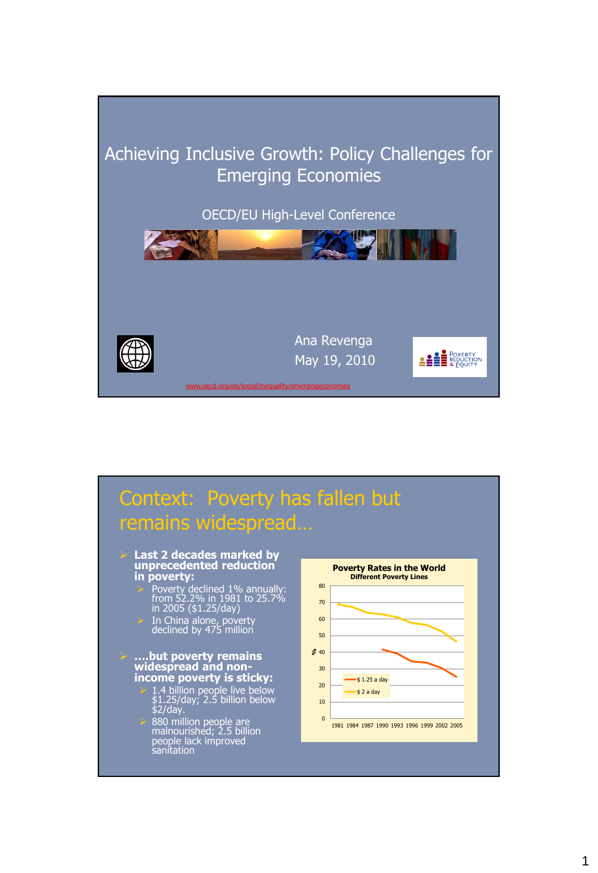

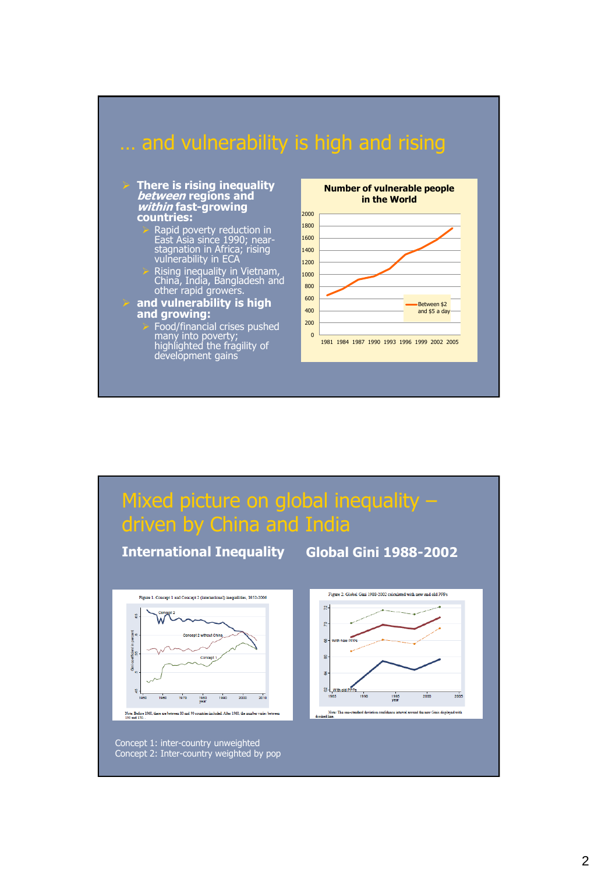

#### **There is rising inequality between regions and within fast-growing countries:**

- Rapid poverty reduction in East Asia since 1990; nearstagnation in Africa; rising vulnerability in ECA
- $\triangleright$  Rising inequality in Vietnam, China, India, Bangladesh and other rapid growers.

### **and vulnerability is high and growing:**

 $\triangleright$  Food/financial crises pushed many into poverty; highlighted the fragility of development gains



## Mixed picture on global inequality – driven by China and India

Figure 1. Concept 1 and Concept 2 (international) inequalities, 1952-2006  $\mathbf{S}$  $\overline{2}$  $\mathbf{r}$ oefficie **g** 룱  $8 -$ 1970 1980<br>vear 1990  $200$ 2010 Note: Before 1960, there are between 80 and 90 countries included. After 1960, the number varies between 180 and 150.

Concept 1: inter-country unweighted Concept 2: Inter-country weighted by pop

### **International Inequality Global Gini 1988-2002**

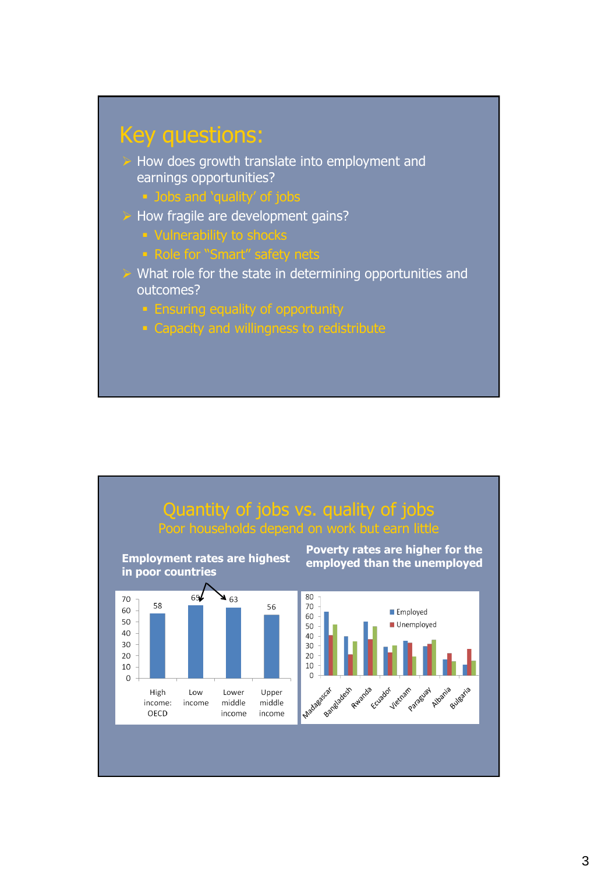

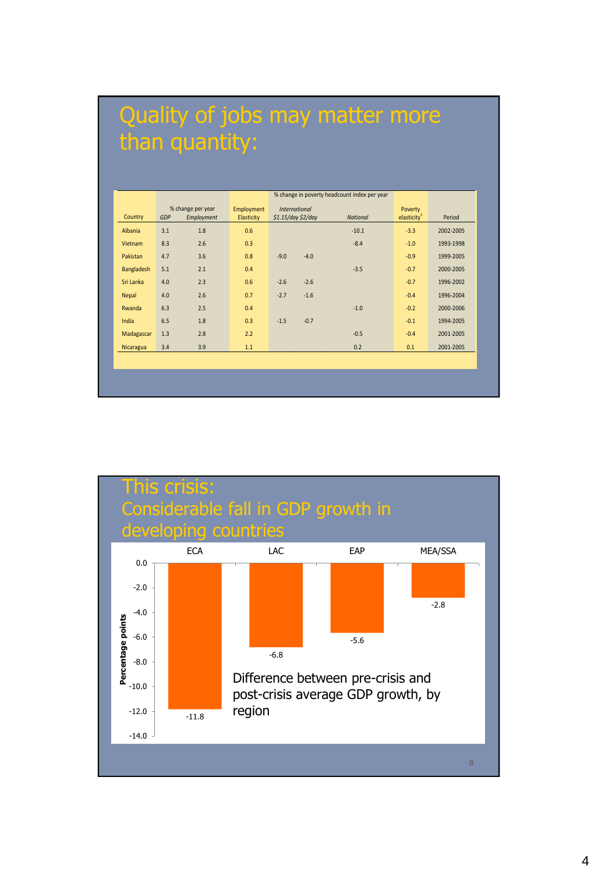## Quality of jobs may matter more than quantity:

|            |            |                                 |                          |                                            | % change in poverty headcount index per year |                           |           |
|------------|------------|---------------------------------|--------------------------|--------------------------------------------|----------------------------------------------|---------------------------|-----------|
| Country    | <b>GDP</b> | % change per year<br>Employment | Employment<br>Elasticity | <b>International</b><br>\$1.15/day \$2/day | <b>National</b>                              | Poverty<br>elasticity $1$ | Period    |
| Albania    | 3.1        | 1.8                             | 0.6                      |                                            | $-10.1$                                      | $-3.3$                    | 2002-2005 |
| Vietnam    | 8.3        | 2.6                             | 0.3                      |                                            | $-8.4$                                       | $-1.0$                    | 1993-1998 |
| Pakistan   | 4.7        | 3.6                             | 0.8                      | $-9.0$<br>$-4.0$                           |                                              | $-0.9$                    | 1999-2005 |
| Bangladesh | 5.1        | 2.1                             | 0.4                      |                                            | $-3.5$                                       | $-0.7$                    | 2000-2005 |
| Sri Lanka  | 4.0        | 2.3                             | 0.6                      | $-2.6$<br>$-2.6$                           |                                              | $-0.7$                    | 1996-2002 |
| Nepal      | 4.0        | 2.6                             | 0.7                      | $-2.7$<br>$-1.6$                           |                                              | $-0.4$                    | 1996-2004 |
| Rwanda     | 6.3        | 2.5                             | 0.4                      |                                            | $-1.0$                                       | $-0.2$                    | 2000-2006 |
| India      | 6.5        | 1.8                             | 0.3                      | $-0.7$<br>$-1.5$                           |                                              | $-0.1$                    | 1994-2005 |
| Madagascar | 1.3        | 2.8                             | 2.2                      |                                            | $-0.5$                                       | $-0.4$                    | 2001-2005 |
| Nicaragua  | 3.4        | 3.9                             | 1.1                      |                                            | 0.2                                          | 0.1                       | 2001-2005 |
|            |            |                                 |                          |                                            |                                              |                           |           |
|            |            |                                 |                          |                                            |                                              |                           |           |

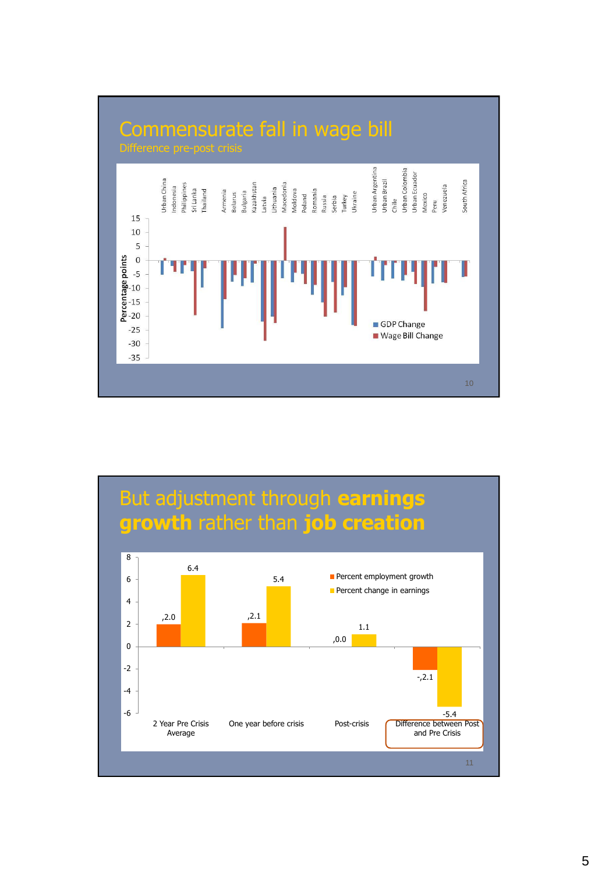

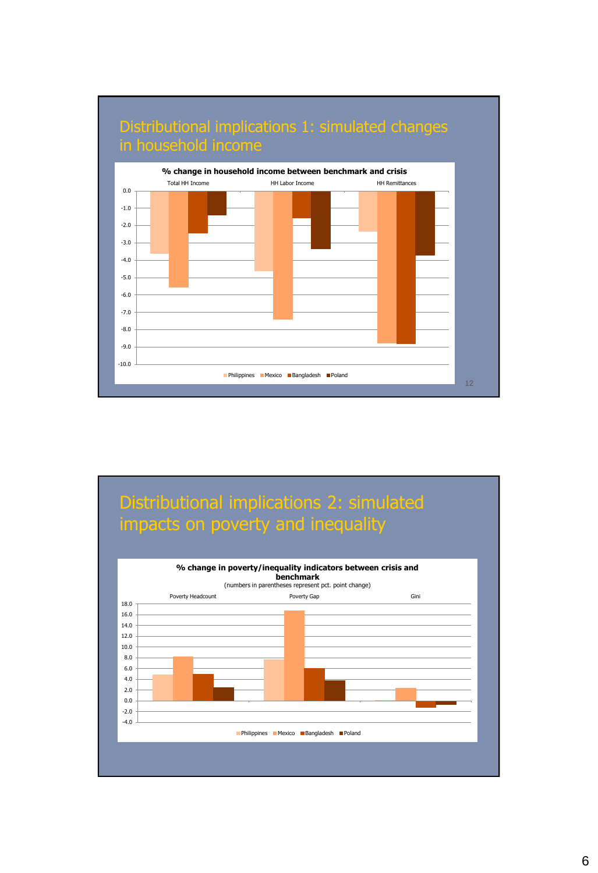

# Distributional implications 2: simulated impacts on poverty and inequality **% change in poverty/inequality indicators between crisis and**

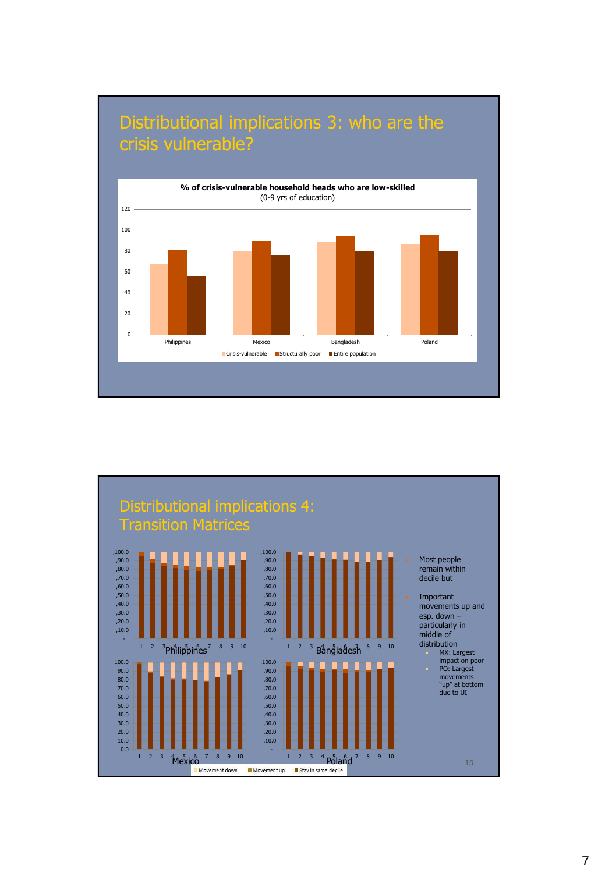

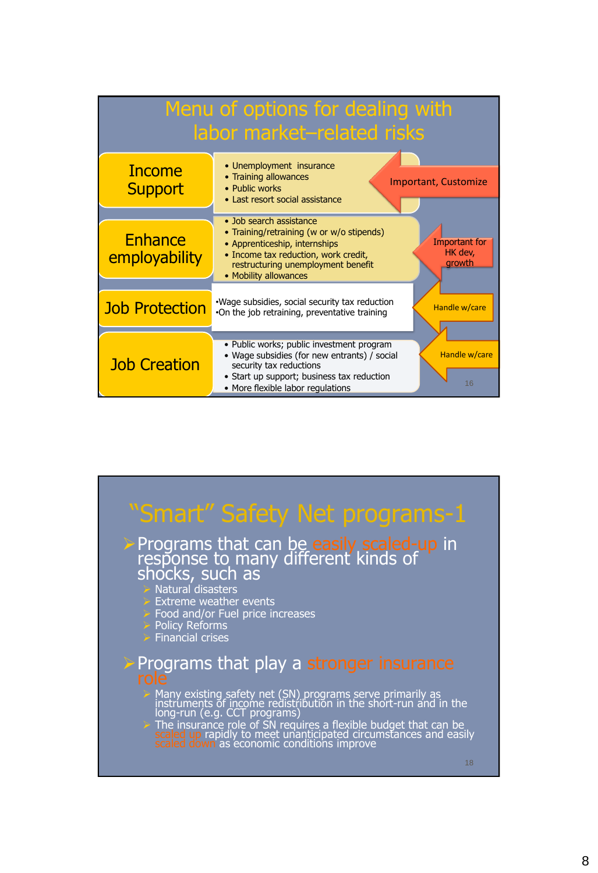| Menu of options for dealing with<br>labor market-related risks |                                                                                                                                                                                                                                                           |  |  |  |  |  |  |  |
|----------------------------------------------------------------|-----------------------------------------------------------------------------------------------------------------------------------------------------------------------------------------------------------------------------------------------------------|--|--|--|--|--|--|--|
| <b>Income</b><br><b>Support</b>                                | • Unemployment insurance<br>• Training allowances<br><b>Important, Customize</b><br>• Public works<br>• Last resort social assistance                                                                                                                     |  |  |  |  |  |  |  |
| <b>Enhance</b><br>employability                                | • Job search assistance<br>• Training/retraining (w or w/o stipends)<br><b>Important for</b><br>• Apprenticeship, internships<br>HK dev,<br>• Income tax reduction, work credit,<br>growth<br>restructuring unemployment benefit<br>• Mobility allowances |  |  |  |  |  |  |  |
| <b>Job Protection</b>                                          | . Wage subsidies, social security tax reduction<br>Handle w/care<br>.On the job retraining, preventative training                                                                                                                                         |  |  |  |  |  |  |  |
| <b>Job Creation</b>                                            | · Public works; public investment program<br>Handle w/care<br>• Wage subsidies (for new entrants) / social<br>security tax reductions<br>• Start up support; business tax reduction<br>16<br>• More flexible labor regulations                            |  |  |  |  |  |  |  |

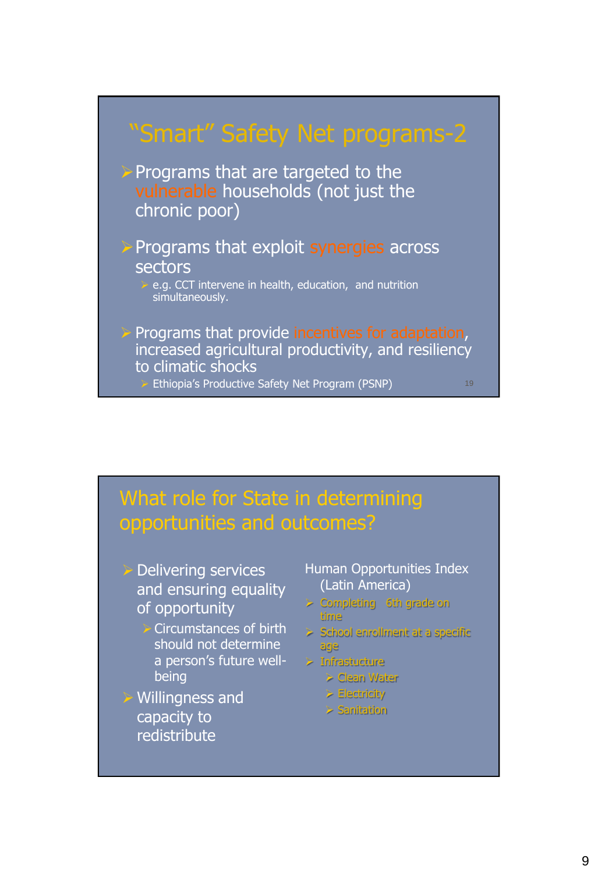

### What role for State in determining opportunities and outcomes?

- **Delivering services** and ensuring equality of opportunity
	- $\triangleright$  Circumstances of birth should not determine a person"s future wellbeing
- Willingness and capacity to redistribute
- Human Opportunities Index (Latin America)
- $>$  Completing 6th grade on time
- $>$  School enrollment at a specific age
- > Infrastucture
	- > Clean Water
	- **Electricity**
	- $>$  Sanitation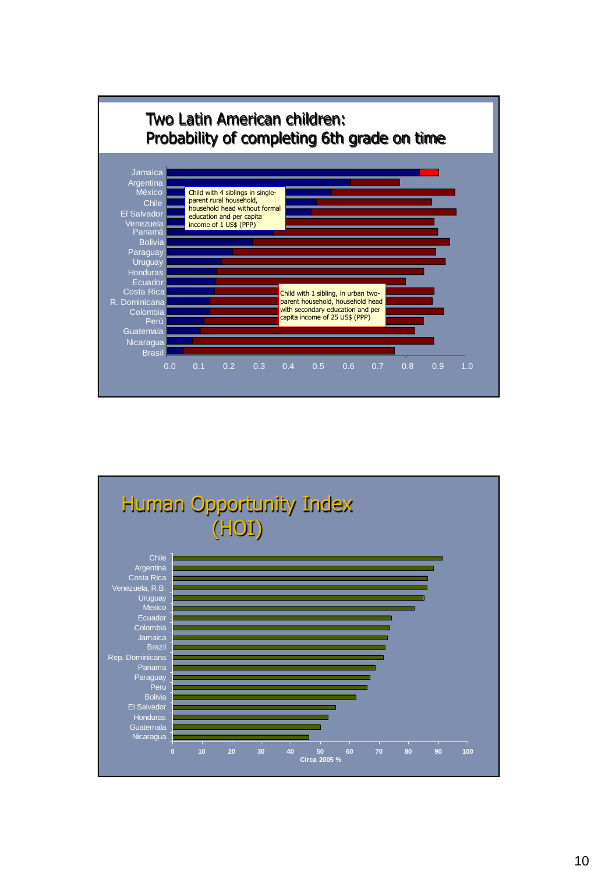

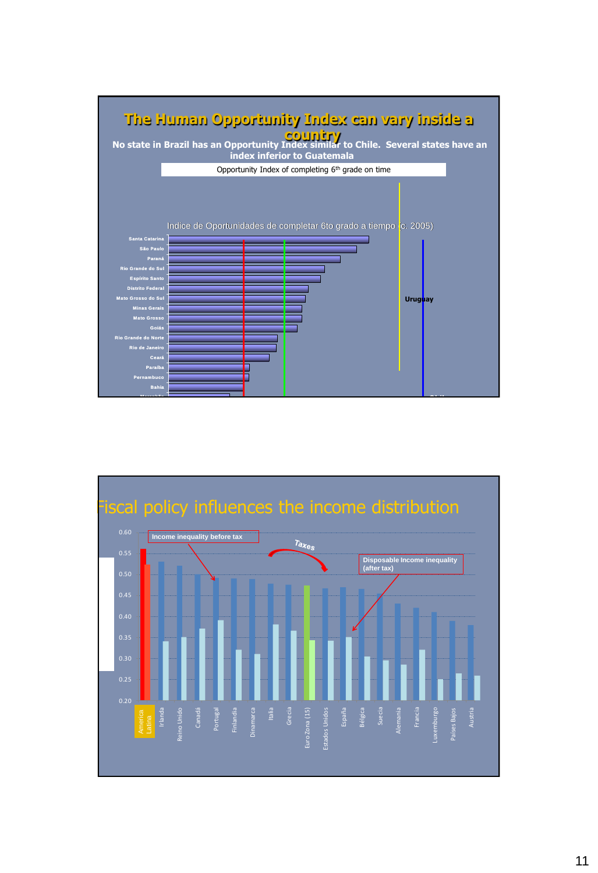

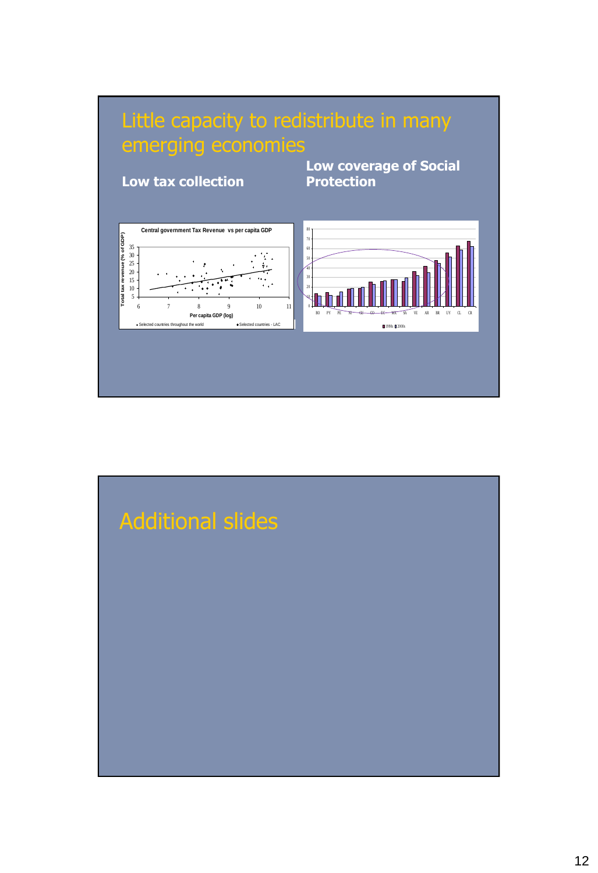

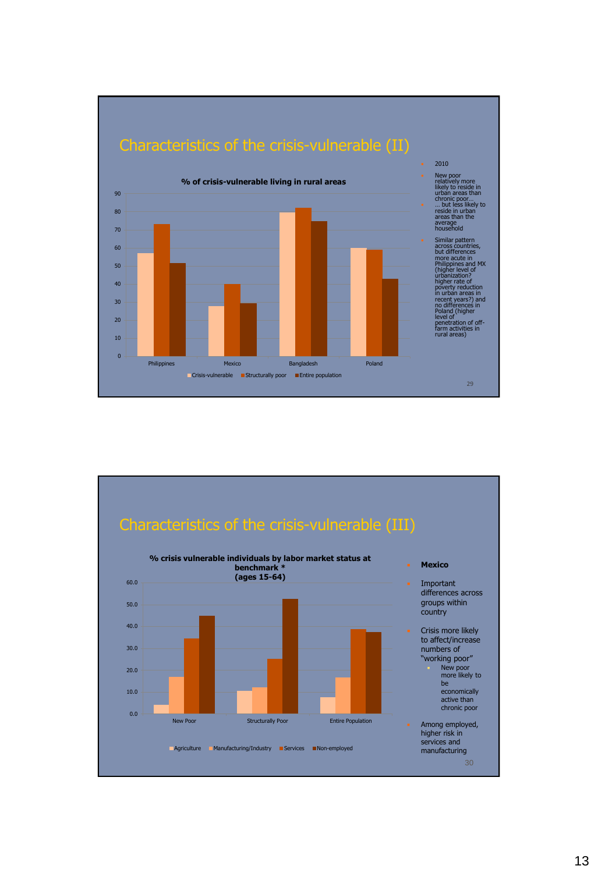